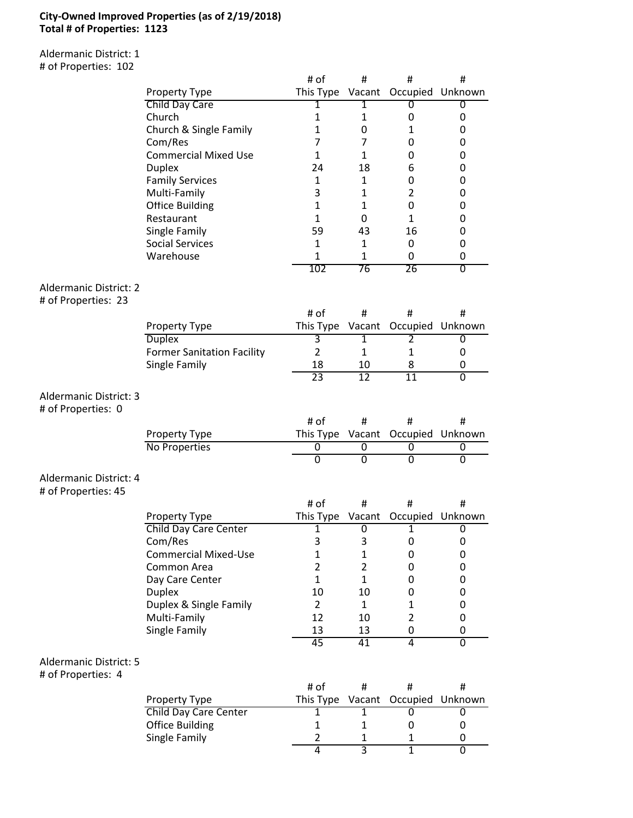## **City-Owned Improved Properties (as of 2/19/2018) Total # of Properties: 1123**

Aldermanic District: 1 # of Properties: 102

|                                                      |                                   | # of                | #                              | #                   | #                         |
|------------------------------------------------------|-----------------------------------|---------------------|--------------------------------|---------------------|---------------------------|
|                                                      | Property Type                     | This Type Vacant    |                                |                     | Occupied Unknown          |
|                                                      | Child Day Care                    | 1                   | 1                              | 0                   | 0                         |
|                                                      | Church                            | $\mathbf{1}$        | $\mathbf{1}$                   | 0                   | 0                         |
|                                                      | Church & Single Family            | $\mathbf{1}$        | 0                              | $\mathbf{1}$        | 0                         |
|                                                      | Com/Res                           | 7                   | 7                              | 0                   | 0                         |
|                                                      | <b>Commercial Mixed Use</b>       | $\mathbf{1}$        | $\mathbf{1}$                   | 0                   | 0                         |
|                                                      | <b>Duplex</b>                     | 24                  | 18                             | 6                   | 0                         |
|                                                      | <b>Family Services</b>            | 1                   | $\mathbf{1}$                   | 0                   | 0                         |
|                                                      | Multi-Family                      | 3                   | $\mathbf{1}$                   | $\overline{2}$      | 0                         |
|                                                      | <b>Office Building</b>            | $\mathbf{1}$        | $\mathbf{1}$                   | 0                   | 0                         |
|                                                      | Restaurant                        | $\mathbf{1}$        | 0                              | $\mathbf{1}$        | 0                         |
|                                                      | Single Family                     | 59                  | 43                             | 16                  | 0                         |
|                                                      | <b>Social Services</b>            | 1                   | $\mathbf{1}$                   | $\mathbf 0$         | 0                         |
|                                                      | Warehouse                         | 1                   | $\mathbf{1}$                   | 0                   | 0                         |
|                                                      |                                   | 102                 | 76                             | 26                  | $\overline{\mathfrak{o}}$ |
| <b>Aldermanic District: 2</b><br># of Properties: 23 |                                   |                     |                                |                     |                           |
|                                                      |                                   | # of                | #                              | #                   | #                         |
|                                                      | Property Type                     | This Type           |                                | Vacant Occupied     | Unknown                   |
|                                                      | <b>Duplex</b>                     | З                   | $\overline{1}$                 | $\overline{2}$      | 0                         |
|                                                      | <b>Former Sanitation Facility</b> | $\overline{2}$      | $\mathbf{1}$                   | 1                   | 0                         |
|                                                      | Single Family                     | 18                  | 10                             | 8                   | 0                         |
|                                                      |                                   | $\overline{23}$     | $\overline{12}$                | $\overline{11}$     | $\overline{0}$            |
| <b>Aldermanic District: 3</b><br># of Properties: 0  |                                   |                     |                                |                     |                           |
|                                                      |                                   |                     |                                |                     |                           |
|                                                      |                                   | # of                | #                              | #                   | #                         |
|                                                      | Property Type                     | This Type           | Vacant                         | Occupied            | Unknown                   |
|                                                      | No Properties                     | $\overline{0}$      | 0                              | 0                   | 0                         |
|                                                      |                                   | $\overline{0}$      | $\overline{0}$                 | $\overline{0}$      | 0                         |
| Aldermanic District: 4<br># of Properties: 45        |                                   |                     |                                |                     |                           |
|                                                      |                                   | # of                | #                              | #                   | #                         |
|                                                      | Property Type                     | This Type           | Vacant                         | Occupied            | Unknown                   |
|                                                      | <b>Child Day Care Center</b>      | 1                   | 0                              | 1                   | 0                         |
|                                                      | Com/Res                           | 3                   | 3                              | 0                   | 0                         |
|                                                      | <b>Commercial Mixed-Use</b>       | $\mathbf{1}$        | $\mathbf{1}$                   | 0                   | 0                         |
|                                                      | Common Area                       | $\overline{2}$      | $\overline{2}$                 | 0                   | 0                         |
|                                                      | Day Care Center                   | $\mathbf{1}$        | $\mathbf{1}$                   | 0                   | 0                         |
|                                                      | <b>Duplex</b>                     | 10                  | 10                             | 0                   | 0                         |
|                                                      | Duplex & Single Family            | $\overline{2}$      | $\mathbf{1}$                   | $\mathbf{1}$        | 0                         |
|                                                      | Multi-Family                      | 12                  | 10                             | $\overline{2}$      | 0                         |
|                                                      | Single Family                     | 13                  | 13                             | 0                   | 0                         |
|                                                      |                                   | 45                  | 41                             | $\overline{4}$      | $\overline{0}$            |
| <b>Aldermanic District: 5</b><br># of Properties: 4  |                                   |                     |                                |                     |                           |
|                                                      |                                   | # of                | #                              | #                   | #                         |
|                                                      | Property Type                     | This Type           | Vacant                         | Occupied            | Unknown                   |
|                                                      | <b>Child Day Care Center</b>      | 1                   | 1                              | 0                   | 0                         |
|                                                      | <b>Office Building</b>            | $\mathbf{1}$        | $\mathbf{1}$                   | 0                   | 0                         |
|                                                      | Single Family                     | $\overline{2}$<br>4 | $\mathbf{1}$<br>$\overline{3}$ | 1<br>$\overline{1}$ | 0<br>$\overline{0}$       |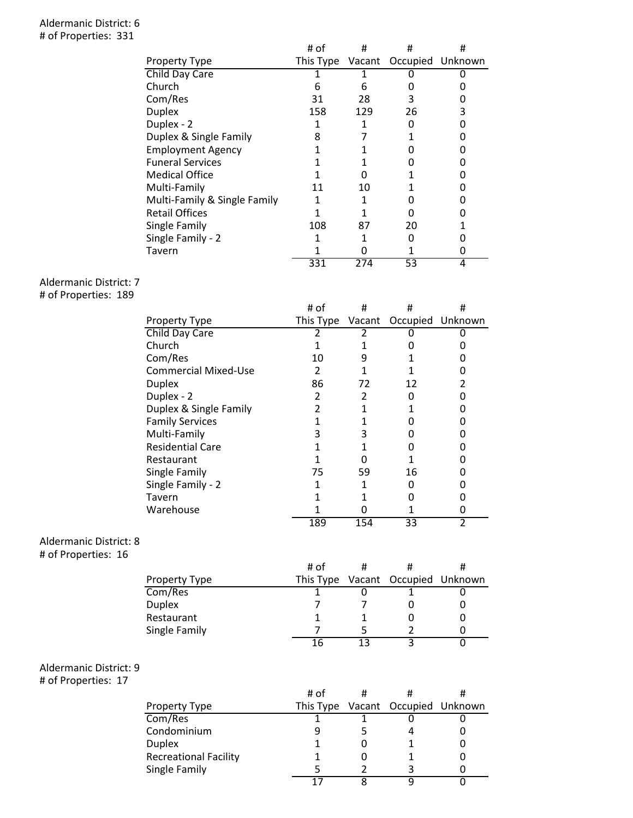## Aldermanic District: 6 # of Properties: 331

|                              | # of | #   | #                                 | # |
|------------------------------|------|-----|-----------------------------------|---|
| <b>Property Type</b>         |      |     | This Type Vacant Occupied Unknown |   |
| Child Day Care               |      |     |                                   |   |
| Church                       | 6    | 6   |                                   |   |
| Com/Res                      | 31   | 28  | 3                                 |   |
| <b>Duplex</b>                | 158  | 129 | 26                                | 3 |
| Duplex - 2                   |      |     |                                   |   |
| Duplex & Single Family       | 8    |     |                                   |   |
| <b>Employment Agency</b>     |      |     |                                   |   |
| <b>Funeral Services</b>      |      |     |                                   |   |
| <b>Medical Office</b>        |      | O   |                                   |   |
| Multi-Family                 | 11   | 10  |                                   |   |
| Multi-Family & Single Family |      |     |                                   |   |
| <b>Retail Offices</b>        |      |     |                                   |   |
| Single Family                | 108  | 87  | 20                                |   |
| Single Family - 2            |      |     |                                   |   |
| Tavern                       |      |     |                                   |   |
|                              | 331  | 274 | 53                                | 4 |

## Aldermanic District: 7

# of Properties: 189

|                             | # of      | #   | #                       | # |
|-----------------------------|-----------|-----|-------------------------|---|
| <b>Property Type</b>        | This Type |     | Vacant Occupied Unknown |   |
| Child Day Care              |           |     |                         |   |
| Church                      |           |     |                         |   |
| Com/Res                     | 10        | 9   |                         |   |
| <b>Commercial Mixed-Use</b> | 2         |     |                         |   |
| <b>Duplex</b>               | 86        | 72  | 12                      |   |
| Duplex - 2                  | 2         | 2   |                         |   |
| Duplex & Single Family      | 2         |     |                         |   |
| <b>Family Services</b>      |           |     |                         |   |
| Multi-Family                | ੨         |     |                         |   |
| <b>Residential Care</b>     |           |     |                         |   |
| Restaurant                  |           |     |                         |   |
| Single Family               | 75        | 59  | 16                      |   |
| Single Family - 2           |           |     |                         |   |
| Tavern                      |           |     |                         |   |
| Warehouse                   |           |     |                         |   |
|                             | 189       | 154 | 33                      | 2 |

## Aldermanic District: 8

# of Properties: 16

|               | # of |                                   |  |
|---------------|------|-----------------------------------|--|
| Property Type |      | This Type Vacant Occupied Unknown |  |
| Com/Res       |      |                                   |  |
| Duplex        |      |                                   |  |
| Restaurant    |      |                                   |  |
| Single Family |      |                                   |  |
|               | 16   |                                   |  |
|               |      |                                   |  |

# Aldermanic District: 9

# of Properties: 17

|                              | # of |                                   |  |
|------------------------------|------|-----------------------------------|--|
| Property Type                |      | This Type Vacant Occupied Unknown |  |
| Com/Res                      |      |                                   |  |
| Condominium                  |      |                                   |  |
| Duplex                       |      |                                   |  |
| <b>Recreational Facility</b> |      |                                   |  |
| Single Family                |      |                                   |  |
|                              |      |                                   |  |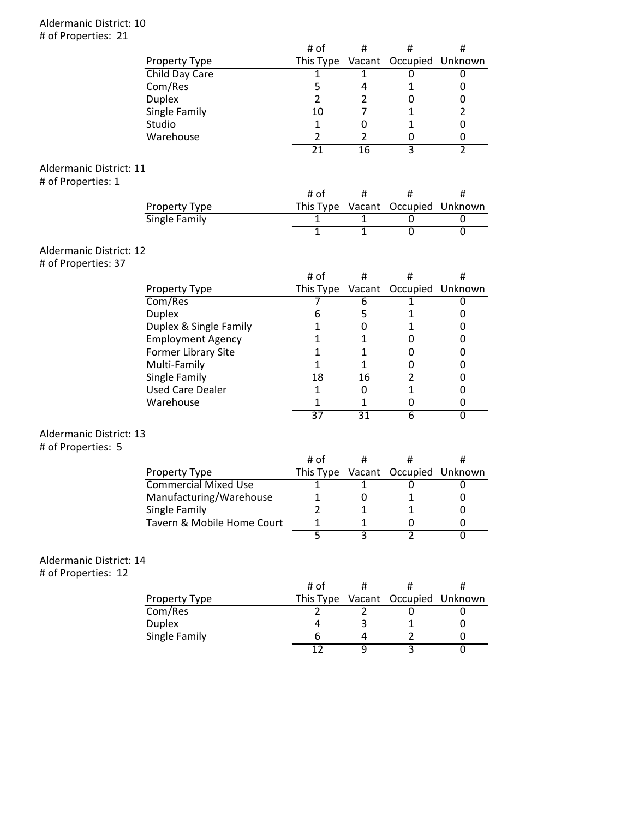## Aldermanic District: 10 # of Properties: 21

|                                |                                              | # of            | #                | #                                      | #                   |
|--------------------------------|----------------------------------------------|-----------------|------------------|----------------------------------------|---------------------|
|                                | Property Type                                | This Type       |                  | Vacant Occupied Unknown                |                     |
|                                | Child Day Care                               | 1               | 1                | 0                                      | 0                   |
|                                | Com/Res                                      | 5               | 4                | $\mathbf 1$                            | 0                   |
|                                | <b>Duplex</b>                                | $\overline{2}$  | $\overline{2}$   | 0                                      | 0                   |
|                                | Single Family                                | 10              | $\overline{7}$   | $\mathbf{1}$                           | $\overline{2}$      |
|                                | Studio                                       | $\mathbf{1}$    | 0                | $\mathbf{1}$                           | 0                   |
|                                | Warehouse                                    | $\overline{2}$  | $\overline{2}$   | 0                                      | 0                   |
|                                |                                              | $\overline{21}$ | $\overline{16}$  | $\overline{3}$                         | $\overline{2}$      |
| Aldermanic District: 11        |                                              |                 |                  |                                        |                     |
| # of Properties: 1             |                                              |                 |                  |                                        |                     |
|                                |                                              | # of            | #                | #                                      | #                   |
|                                |                                              |                 |                  |                                        |                     |
|                                | Property Type<br><b>Single Family</b>        | 1               | 1                | This Type Vacant Occupied Unknown<br>0 |                     |
|                                |                                              | $\overline{1}$  | $\mathbf{1}$     | $\overline{0}$                         | 0<br>$\overline{0}$ |
|                                |                                              |                 |                  |                                        |                     |
| Aldermanic District: 12        |                                              |                 |                  |                                        |                     |
| # of Properties: 37            |                                              |                 |                  |                                        |                     |
|                                |                                              | # of            | #                | #                                      | #                   |
|                                | Property Type                                | This Type       |                  | Vacant Occupied Unknown                |                     |
|                                | Com/Res                                      | 7               | $\overline{6}$   | $\mathbf{1}$                           | 0                   |
|                                | <b>Duplex</b>                                | 6               | 5                | 1                                      | 0                   |
|                                | Duplex & Single Family                       | 1               | 0                | 1                                      | 0                   |
|                                | <b>Employment Agency</b>                     | 1               | $\mathbf{1}$     | 0                                      | 0                   |
|                                | Former Library Site                          | 1               | $\mathbf{1}$     | 0                                      | 0                   |
|                                | Multi-Family                                 | 1               | $\mathbf{1}$     | 0                                      | 0                   |
|                                | Single Family                                | 18              | 16               | $\overline{2}$                         | 0                   |
|                                | <b>Used Care Dealer</b>                      | $\mathbf{1}$    | 0                | $\mathbf{1}$                           | 0                   |
|                                | Warehouse                                    | 1               | 1                | 0                                      | 0                   |
|                                |                                              | $\overline{37}$ | 31               | $\overline{6}$                         | $\overline{0}$      |
| <b>Aldermanic District: 13</b> |                                              |                 |                  |                                        |                     |
| # of Properties: 5             |                                              |                 |                  |                                        |                     |
|                                |                                              | # of            | #                | #                                      | #                   |
|                                |                                              |                 |                  | This Type Vacant Occupied Unknown      |                     |
|                                | Property Type<br><b>Commercial Mixed Use</b> | 1               | $\mathbf{1}$     | 0                                      | 0                   |
|                                | Manufacturing/Warehouse                      | 1               | $\boldsymbol{0}$ | $\mathbf{1}$                           | 0                   |
|                                | Single Family                                | 2               | 1                | 1                                      | 0                   |
|                                | Tavern & Mobile Home Court                   | 1               | 1                | 0                                      | 0                   |
|                                |                                              | $\overline{5}$  | $\overline{3}$   | $\overline{2}$                         | $\overline{0}$      |
|                                |                                              |                 |                  |                                        |                     |
| Aldermanic District: 14        |                                              |                 |                  |                                        |                     |
| # of Properties: 12            |                                              |                 |                  |                                        |                     |
|                                |                                              | # of            | #                | #                                      | #                   |
|                                | Property Type                                | This Type       | Vacant           | Occupied                               | Unknown             |
|                                | Com/Res                                      | $\overline{2}$  | 2                | 0                                      | $\overline{0}$      |
|                                | <b>Duplex</b>                                | 4               | 3                | 1                                      | 0                   |
|                                | Single Family                                | 6               | 4                | $\overline{2}$                         | 0                   |
|                                |                                              | $\overline{12}$ | 9                | 3                                      | $\overline{0}$      |
|                                |                                              |                 |                  |                                        |                     |